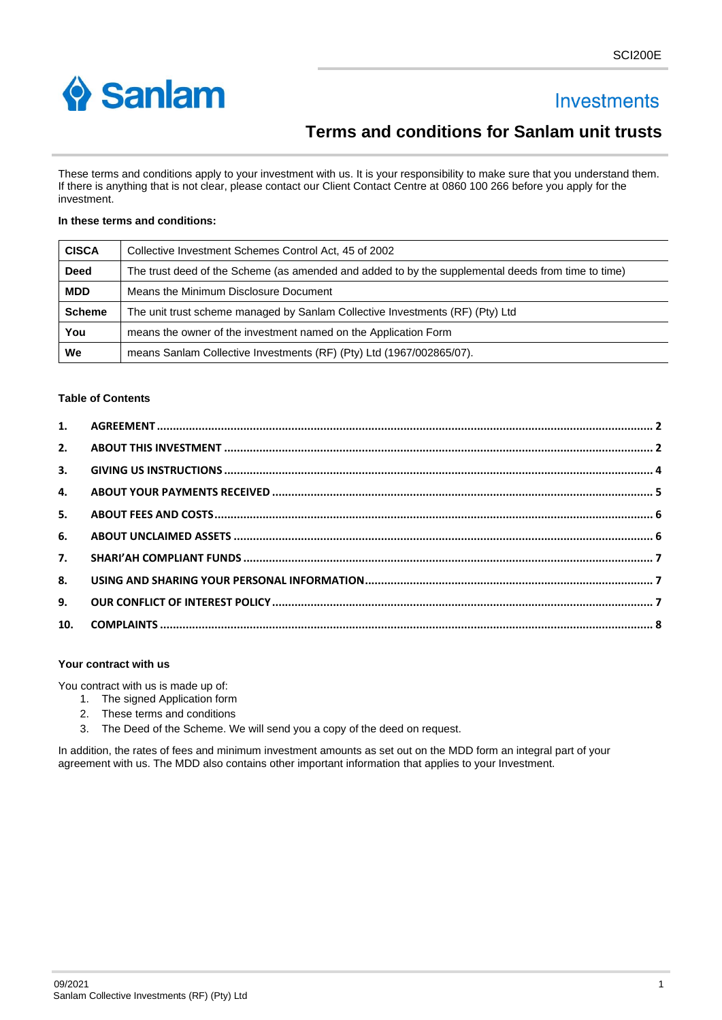

# **Investments**

# **Terms and conditions for Sanlam unit trusts**

These terms and conditions apply to your investment with us. It is your responsibility to make sure that you understand them. If there is anything that is not clear, please contact our Client Contact Centre at 0860 100 266 before you apply for the investment.

## **In these terms and conditions:**

| <b>CISCA</b>  | Collective Investment Schemes Control Act, 45 of 2002                                              |  |
|---------------|----------------------------------------------------------------------------------------------------|--|
| <b>Deed</b>   | The trust deed of the Scheme (as amended and added to by the supplemental deeds from time to time) |  |
| <b>MDD</b>    | Means the Minimum Disclosure Document                                                              |  |
| <b>Scheme</b> | The unit trust scheme managed by Sanlam Collective Investments (RF) (Pty) Ltd                      |  |
| You           | means the owner of the investment named on the Application Form                                    |  |
| We            | means Sanlam Collective Investments (RF) (Pty) Ltd (1967/002865/07).                               |  |

#### **Table of Contents**

| 2.               |  |
|------------------|--|
| 3.               |  |
| 4.               |  |
| 5.               |  |
| 6.               |  |
| $\overline{7}$ . |  |
| 8.               |  |
| 9.               |  |
| 10.              |  |

## **Your contract with us**

You contract with us is made up of:

- 1. The signed Application form
- 2. These terms and conditions
- 3. The Deed of the Scheme. We will send you a copy of the deed on request.

In addition, the rates of fees and minimum investment amounts as set out on the MDD form an integral part of your agreement with us. The MDD also contains other important information that applies to your Investment.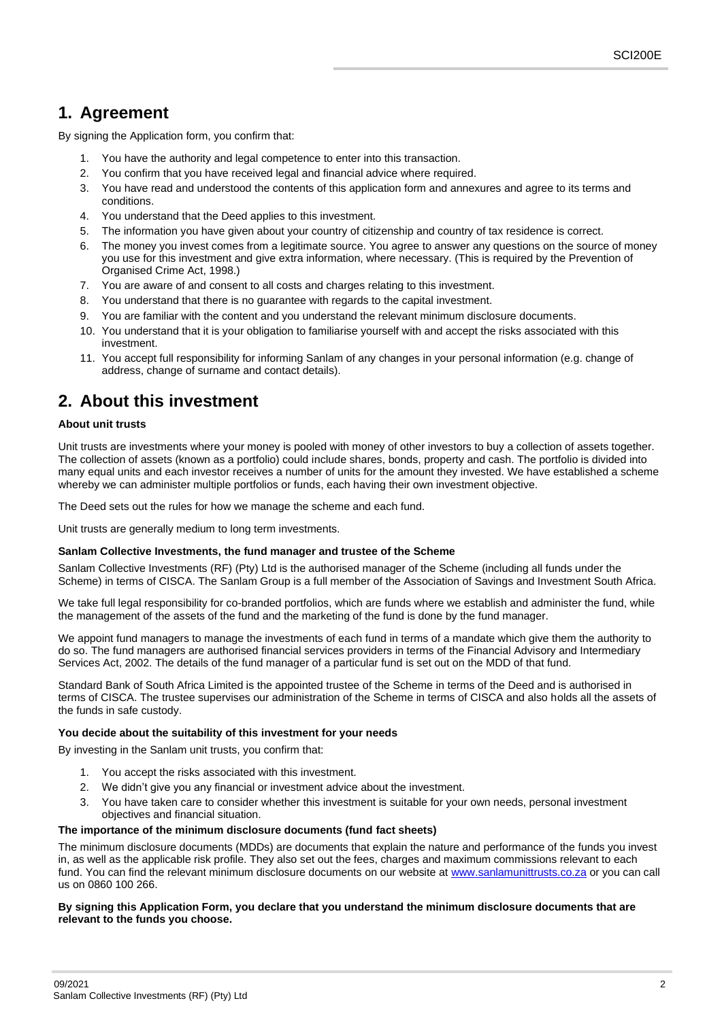# <span id="page-1-0"></span>**1. Agreement**

By signing the Application form, you confirm that:

- 1. You have the authority and legal competence to enter into this transaction.
- 2. You confirm that you have received legal and financial advice where required.
- 3. You have read and understood the contents of this application form and annexures and agree to its terms and conditions.
- 4. You understand that the Deed applies to this investment.
- 5. The information you have given about your country of citizenship and country of tax residence is correct.
- 6. The money you invest comes from a legitimate source. You agree to answer any questions on the source of money you use for this investment and give extra information, where necessary. (This is required by the Prevention of Organised Crime Act, 1998.)
- 7. You are aware of and consent to all costs and charges relating to this investment.
- 8. You understand that there is no guarantee with regards to the capital investment.
- 9. You are familiar with the content and you understand the relevant minimum disclosure documents.
- 10. You understand that it is your obligation to familiarise yourself with and accept the risks associated with this investment.
- 11. You accept full responsibility for informing Sanlam of any changes in your personal information (e.g. change of address, change of surname and contact details).

# <span id="page-1-1"></span>**2. About this investment**

## **About unit trusts**

Unit trusts are investments where your money is pooled with money of other investors to buy a collection of assets together. The collection of assets (known as a portfolio) could include shares, bonds, property and cash. The portfolio is divided into many equal units and each investor receives a number of units for the amount they invested. We have established a scheme whereby we can administer multiple portfolios or funds, each having their own investment objective.

The Deed sets out the rules for how we manage the scheme and each fund.

Unit trusts are generally medium to long term investments.

#### **Sanlam Collective Investments, the fund manager and trustee of the Scheme**

Sanlam Collective Investments (RF) (Pty) Ltd is the authorised manager of the Scheme (including all funds under the Scheme) in terms of CISCA. The Sanlam Group is a full member of the Association of Savings and Investment South Africa.

We take full legal responsibility for co-branded portfolios, which are funds where we establish and administer the fund, while the management of the assets of the fund and the marketing of the fund is done by the fund manager.

We appoint fund managers to manage the investments of each fund in terms of a mandate which give them the authority to do so. The fund managers are authorised financial services providers in terms of the Financial Advisory and Intermediary Services Act, 2002. The details of the fund manager of a particular fund is set out on the MDD of that fund.

Standard Bank of South Africa Limited is the appointed trustee of the Scheme in terms of the Deed and is authorised in terms of CISCA. The trustee supervises our administration of the Scheme in terms of CISCA and also holds all the assets of the funds in safe custody.

## **You decide about the suitability of this investment for your needs**

By investing in the Sanlam unit trusts, you confirm that:

- 1. You accept the risks associated with this investment.
- 2. We didn't give you any financial or investment advice about the investment.
- You have taken care to consider whether this investment is suitable for your own needs, personal investment objectives and financial situation.

## **The importance of the minimum disclosure documents (fund fact sheets)**

The minimum disclosure documents (MDDs) are documents that explain the nature and performance of the funds you invest in, as well as the applicable risk profile. They also set out the fees, charges and maximum commissions relevant to each fund. You can find the relevant minimum disclosure documents on our website at [www.sanlamunittrusts.co.za](file:///C:/Users/c_avashneem/Desktop/Forms%20work/AEOI/www.sanlamunittrusts.co.za) or you can call us on 0860 100 266.

#### **By signing this Application Form, you declare that you understand the minimum disclosure documents that are relevant to the funds you choose.**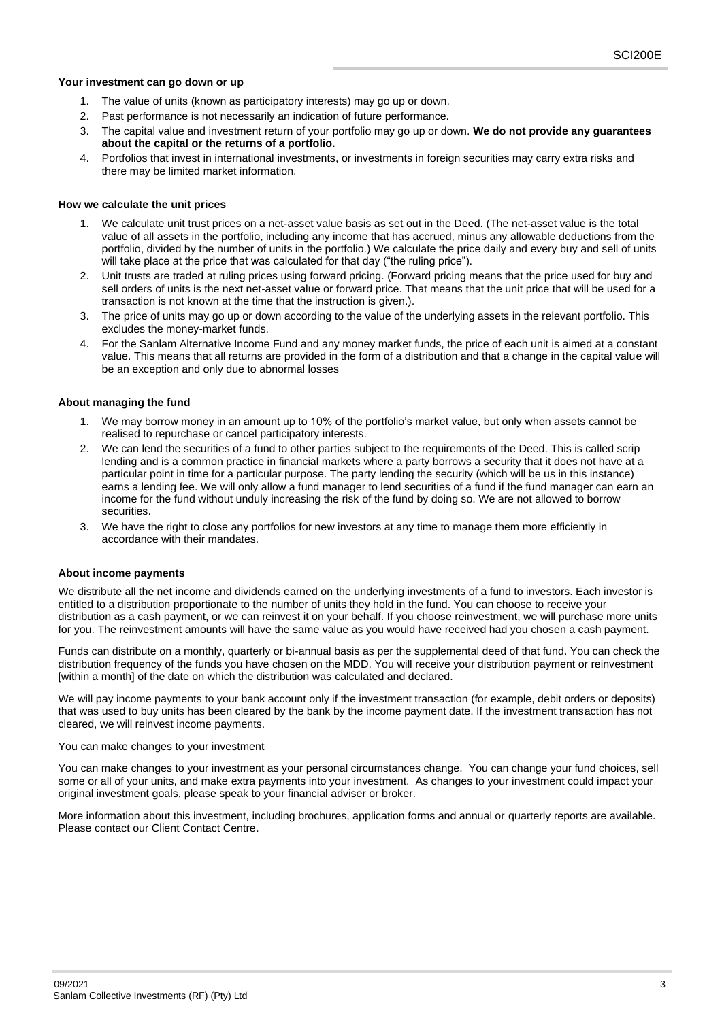#### **Your investment can go down or up**

- 1. The value of units (known as participatory interests) may go up or down.
- 2. Past performance is not necessarily an indication of future performance.
- 3. The capital value and investment return of your portfolio may go up or down. **We do not provide any guarantees about the capital or the returns of a portfolio.**
- 4. Portfolios that invest in international investments, or investments in foreign securities may carry extra risks and there may be limited market information.

#### **How we calculate the unit prices**

- We calculate unit trust prices on a net-asset value basis as set out in the Deed. (The net-asset value is the total value of all assets in the portfolio, including any income that has accrued, minus any allowable deductions from the portfolio, divided by the number of units in the portfolio.) We calculate the price daily and every buy and sell of units will take place at the price that was calculated for that day ("the ruling price").
- 2. Unit trusts are traded at ruling prices using forward pricing. (Forward pricing means that the price used for buy and sell orders of units is the next net-asset value or forward price. That means that the unit price that will be used for a transaction is not known at the time that the instruction is given.).
- 3. The price of units may go up or down according to the value of the underlying assets in the relevant portfolio. This excludes the money-market funds.
- 4. For the Sanlam Alternative Income Fund and any money market funds, the price of each unit is aimed at a constant value. This means that all returns are provided in the form of a distribution and that a change in the capital value will be an exception and only due to abnormal losses

#### **About managing the fund**

- We may borrow money in an amount up to 10% of the portfolio's market value, but only when assets cannot be realised to repurchase or cancel participatory interests.
- 2. We can lend the securities of a fund to other parties subject to the requirements of the Deed. This is called scrip lending and is a common practice in financial markets where a party borrows a security that it does not have at a particular point in time for a particular purpose. The party lending the security (which will be us in this instance) earns a lending fee. We will only allow a fund manager to lend securities of a fund if the fund manager can earn an income for the fund without unduly increasing the risk of the fund by doing so. We are not allowed to borrow securities.
- 3. We have the right to close any portfolios for new investors at any time to manage them more efficiently in accordance with their mandates.

#### **About income payments**

We distribute all the net income and dividends earned on the underlying investments of a fund to investors. Each investor is entitled to a distribution proportionate to the number of units they hold in the fund. You can choose to receive your distribution as a cash payment, or we can reinvest it on your behalf. If you choose reinvestment, we will purchase more units for you. The reinvestment amounts will have the same value as you would have received had you chosen a cash payment.

Funds can distribute on a monthly, quarterly or bi-annual basis as per the supplemental deed of that fund. You can check the distribution frequency of the funds you have chosen on the MDD. You will receive your distribution payment or reinvestment [within a month] of the date on which the distribution was calculated and declared.

We will pay income payments to your bank account only if the investment transaction (for example, debit orders or deposits) that was used to buy units has been cleared by the bank by the income payment date. If the investment transaction has not cleared, we will reinvest income payments.

#### You can make changes to your investment

You can make changes to your investment as your personal circumstances change. You can change your fund choices, sell some or all of your units, and make extra payments into your investment. As changes to your investment could impact your original investment goals, please speak to your financial adviser or broker.

More information about this investment, including brochures, application forms and annual or quarterly reports are available. Please contact our Client Contact Centre.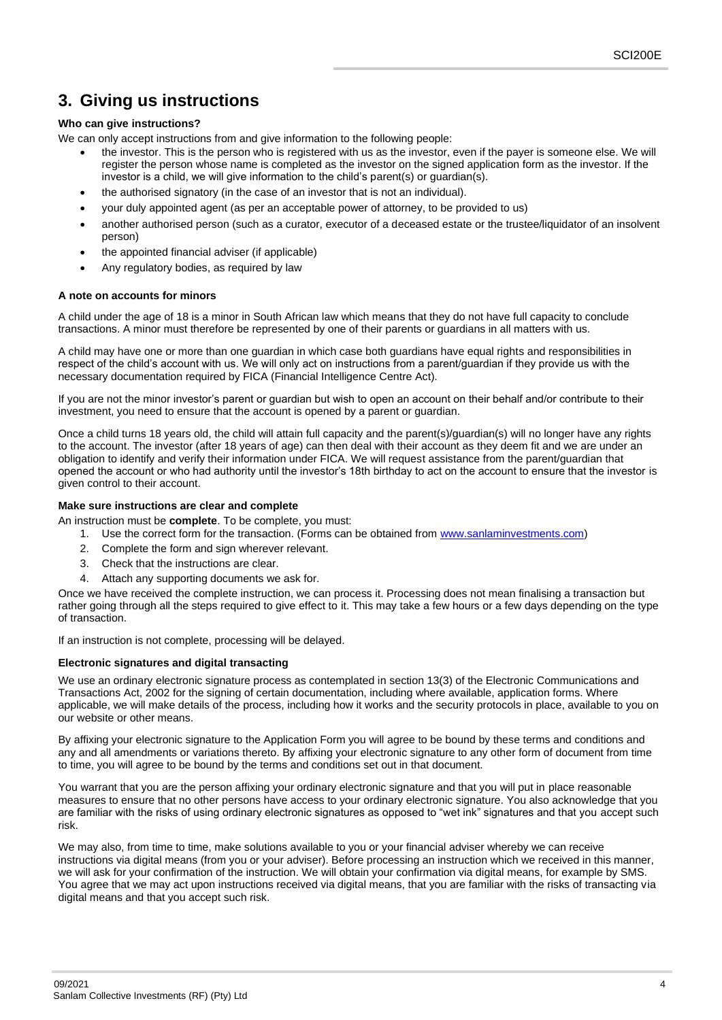# <span id="page-3-0"></span>**3. Giving us instructions**

# **Who can give instructions?**

We can only accept instructions from and give information to the following people:

- the investor. This is the person who is registered with us as the investor, even if the payer is someone else. We will register the person whose name is completed as the investor on the signed application form as the investor. If the investor is a child, we will give information to the child's parent(s) or guardian(s).
- the authorised signatory (in the case of an investor that is not an individual).
- your duly appointed agent (as per an acceptable power of attorney, to be provided to us)
- another authorised person (such as a curator, executor of a deceased estate or the trustee/liquidator of an insolvent person)
- the appointed financial adviser (if applicable)
- Any regulatory bodies, as required by law

#### **A note on accounts for minors**

A child under the age of 18 is a minor in South African law which means that they do not have full capacity to conclude transactions. A minor must therefore be represented by one of their parents or guardians in all matters with us.

A child may have one or more than one guardian in which case both guardians have equal rights and responsibilities in respect of the child's account with us. We will only act on instructions from a parent/guardian if they provide us with the necessary documentation required by FICA (Financial Intelligence Centre Act).

If you are not the minor investor's parent or guardian but wish to open an account on their behalf and/or contribute to their investment, you need to ensure that the account is opened by a parent or guardian.

Once a child turns 18 years old, the child will attain full capacity and the parent(s)/guardian(s) will no longer have any rights to the account. The investor (after 18 years of age) can then deal with their account as they deem fit and we are under an obligation to identify and verify their information under FICA. We will request assistance from the parent/guardian that opened the account or who had authority until the investor's 18th birthday to act on the account to ensure that the investor is given control to their account.

## **Make sure instructions are clear and complete**

An instruction must be **complete**. To be complete, you must:

- 1. Use the correct form for the transaction. (Forms can be obtained from [www.sanlaminvestments.com\)](http://www.sanlaminvestments.com/)
- 2. Complete the form and sign wherever relevant.
- 3. Check that the instructions are clear.
- 4. Attach any supporting documents we ask for.

Once we have received the complete instruction, we can process it. Processing does not mean finalising a transaction but rather going through all the steps required to give effect to it. This may take a few hours or a few days depending on the type of transaction.

If an instruction is not complete, processing will be delayed.

## **Electronic signatures and digital transacting**

We use an ordinary electronic signature process as contemplated in section 13(3) of the Electronic Communications and Transactions Act, 2002 for the signing of certain documentation, including where available, application forms. Where applicable, we will make details of the process, including how it works and the security protocols in place, available to you on our website or other means.

By affixing your electronic signature to the Application Form you will agree to be bound by these terms and conditions and any and all amendments or variations thereto. By affixing your electronic signature to any other form of document from time to time, you will agree to be bound by the terms and conditions set out in that document.

You warrant that you are the person affixing your ordinary electronic signature and that you will put in place reasonable measures to ensure that no other persons have access to your ordinary electronic signature. You also acknowledge that you are familiar with the risks of using ordinary electronic signatures as opposed to "wet ink" signatures and that you accept such risk.

We may also, from time to time, make solutions available to you or your financial adviser whereby we can receive instructions via digital means (from you or your adviser). Before processing an instruction which we received in this manner, we will ask for your confirmation of the instruction. We will obtain your confirmation via digital means, for example by SMS. You agree that we may act upon instructions received via digital means, that you are familiar with the risks of transacting via digital means and that you accept such risk.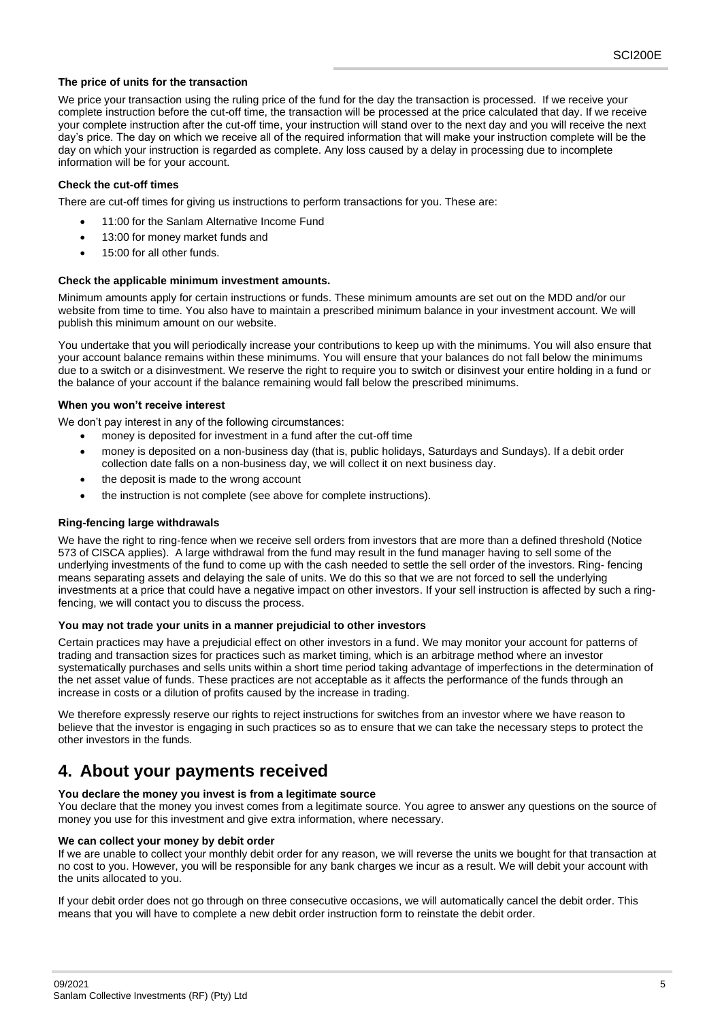#### **The price of units for the transaction**

We price your transaction using the ruling price of the fund for the day the transaction is processed. If we receive your complete instruction before the cut-off time, the transaction will be processed at the price calculated that day. If we receive your complete instruction after the cut-off time, your instruction will stand over to the next day and you will receive the next day's price. The day on which we receive all of the required information that will make your instruction complete will be the day on which your instruction is regarded as complete. Any loss caused by a delay in processing due to incomplete information will be for your account.

#### **Check the cut-off times**

There are cut-off times for giving us instructions to perform transactions for you. These are:

- 11:00 for the Sanlam Alternative Income Fund
- 13:00 for money market funds and
- 15:00 for all other funds.

#### **Check the applicable minimum investment amounts.**

Minimum amounts apply for certain instructions or funds. These minimum amounts are set out on the MDD and/or our website from time to time. You also have to maintain a prescribed minimum balance in your investment account. We will publish this minimum amount on our website.

You undertake that you will periodically increase your contributions to keep up with the minimums. You will also ensure that your account balance remains within these minimums. You will ensure that your balances do not fall below the minimums due to a switch or a disinvestment. We reserve the right to require you to switch or disinvest your entire holding in a fund or the balance of your account if the balance remaining would fall below the prescribed minimums.

#### **When you won't receive interest**

We don't pay interest in any of the following circumstances:

- money is deposited for investment in a fund after the cut-off time
- money is deposited on a non-business day (that is, public holidays, Saturdays and Sundays). If a debit order collection date falls on a non-business day, we will collect it on next business day.
- the deposit is made to the wrong account
- the instruction is not complete (see above for complete instructions).

## **Ring-fencing large withdrawals**

We have the right to ring-fence when we receive sell orders from investors that are more than a defined threshold (Notice 573 of CISCA applies). A large withdrawal from the fund may result in the fund manager having to sell some of the underlying investments of the fund to come up with the cash needed to settle the sell order of the investors. Ring- fencing means separating assets and delaying the sale of units. We do this so that we are not forced to sell the underlying investments at a price that could have a negative impact on other investors. If your sell instruction is affected by such a ringfencing, we will contact you to discuss the process.

#### **You may not trade your units in a manner prejudicial to other investors**

Certain practices may have a prejudicial effect on other investors in a fund. We may monitor your account for patterns of trading and transaction sizes for practices such as market timing, which is an arbitrage method where an investor systematically purchases and sells units within a short time period taking advantage of imperfections in the determination of the net asset value of funds. These practices are not acceptable as it affects the performance of the funds through an increase in costs or a dilution of profits caused by the increase in trading.

We therefore expressly reserve our rights to reject instructions for switches from an investor where we have reason to believe that the investor is engaging in such practices so as to ensure that we can take the necessary steps to protect the other investors in the funds.

# <span id="page-4-0"></span>**4. About your payments received**

## **You declare the money you invest is from a legitimate source**

You declare that the money you invest comes from a legitimate source. You agree to answer any questions on the source of money you use for this investment and give extra information, where necessary.

#### **We can collect your money by debit order**

If we are unable to collect your monthly debit order for any reason, we will reverse the units we bought for that transaction at no cost to you. However, you will be responsible for any bank charges we incur as a result. We will debit your account with the units allocated to you.

If your debit order does not go through on three consecutive occasions, we will automatically cancel the debit order. This means that you will have to complete a new debit order instruction form to reinstate the debit order.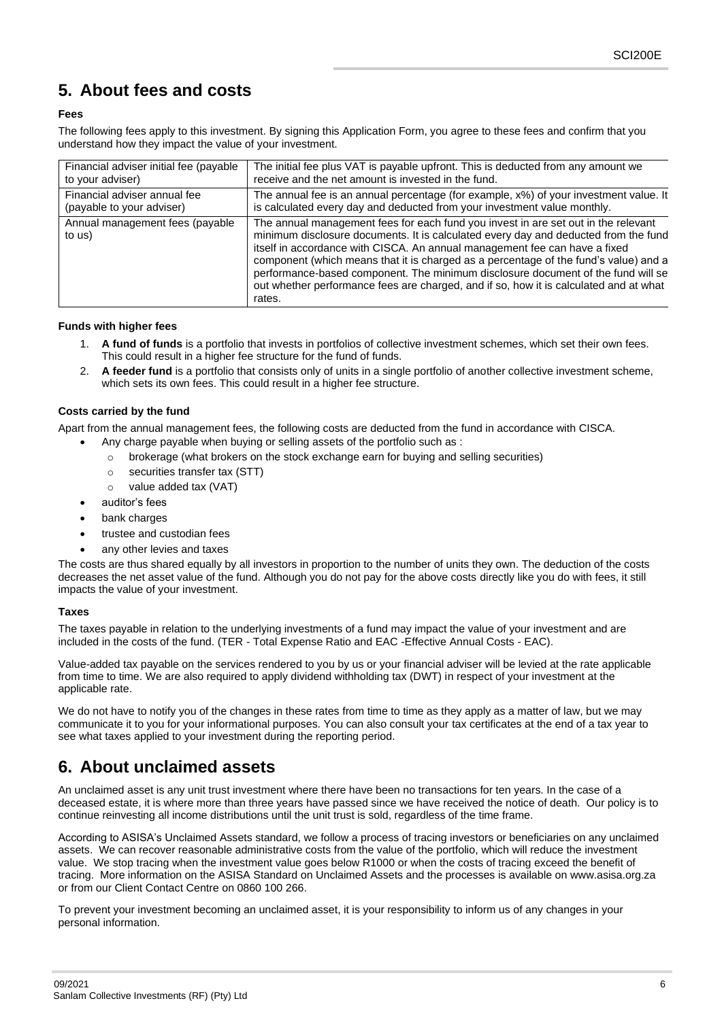# <span id="page-5-0"></span>**5. About fees and costs**

# **Fees**

The following fees apply to this investment. By signing this Application Form, you agree to these fees and confirm that you understand how they impact the value of your investment.

| Financial adviser initial fee (payable    | The initial fee plus VAT is payable upfront. This is deducted from any amount we                                                                                                                                                                                                                                                                                                                                                                                                                                                       |
|-------------------------------------------|----------------------------------------------------------------------------------------------------------------------------------------------------------------------------------------------------------------------------------------------------------------------------------------------------------------------------------------------------------------------------------------------------------------------------------------------------------------------------------------------------------------------------------------|
| to your adviser)                          | receive and the net amount is invested in the fund.                                                                                                                                                                                                                                                                                                                                                                                                                                                                                    |
| Financial adviser annual fee              | The annual fee is an annual percentage (for example, x%) of your investment value. It                                                                                                                                                                                                                                                                                                                                                                                                                                                  |
| (payable to your adviser)                 | is calculated every day and deducted from your investment value monthly.                                                                                                                                                                                                                                                                                                                                                                                                                                                               |
| Annual management fees (payable<br>to us) | The annual management fees for each fund you invest in are set out in the relevant<br>minimum disclosure documents. It is calculated every day and deducted from the fund<br>itself in accordance with CISCA. An annual management fee can have a fixed<br>component (which means that it is charged as a percentage of the fund's value) and a<br>performance-based component. The minimum disclosure document of the fund will se<br>out whether performance fees are charged, and if so, how it is calculated and at what<br>rates. |

#### **Funds with higher fees**

- 1. **A fund of funds** is a portfolio that invests in portfolios of collective investment schemes, which set their own fees. This could result in a higher fee structure for the fund of funds.
- 2. **A feeder fund** is a portfolio that consists only of units in a single portfolio of another collective investment scheme, which sets its own fees. This could result in a higher fee structure.

## **Costs carried by the fund**

Apart from the annual management fees, the following costs are deducted from the fund in accordance with CISCA.

- Any charge payable when buying or selling assets of the portfolio such as :
	- o brokerage (what brokers on the stock exchange earn for buying and selling securities)
	- o securities transfer tax (STT)
	- o value added tax (VAT)
- auditor's fees
- bank charges
- trustee and custodian fees
- any other levies and taxes

The costs are thus shared equally by all investors in proportion to the number of units they own. The deduction of the costs decreases the net asset value of the fund. Although you do not pay for the above costs directly like you do with fees, it still impacts the value of your investment.

## **Taxes**

The taxes payable in relation to the underlying investments of a fund may impact the value of your investment and are included in the costs of the fund. (TER - Total Expense Ratio and EAC -Effective Annual Costs - EAC).

Value-added tax payable on the services rendered to you by us or your financial adviser will be levied at the rate applicable from time to time. We are also required to apply dividend withholding tax (DWT) in respect of your investment at the applicable rate.

We do not have to notify you of the changes in these rates from time to time as they apply as a matter of law, but we may communicate it to you for your informational purposes. You can also consult your tax certificates at the end of a tax year to see what taxes applied to your investment during the reporting period.

# <span id="page-5-1"></span>**6. About unclaimed assets**

An unclaimed asset is any unit trust investment where there have been no transactions for ten years. In the case of a deceased estate, it is where more than three years have passed since we have received the notice of death. Our policy is to continue reinvesting all income distributions until the unit trust is sold, regardless of the time frame.

According to ASISA's Unclaimed Assets standard, we follow a process of tracing investors or beneficiaries on any unclaimed assets. We can recover reasonable administrative costs from the value of the portfolio, which will reduce the investment value. We stop tracing when the investment value goes below R1000 or when the costs of tracing exceed the benefit of tracing. More information on the ASISA Standard on Unclaimed Assets and the processes is available on www.asisa.org.za or from our Client Contact Centre on 0860 100 266.

To prevent your investment becoming an unclaimed asset, it is your responsibility to inform us of any changes in your personal information.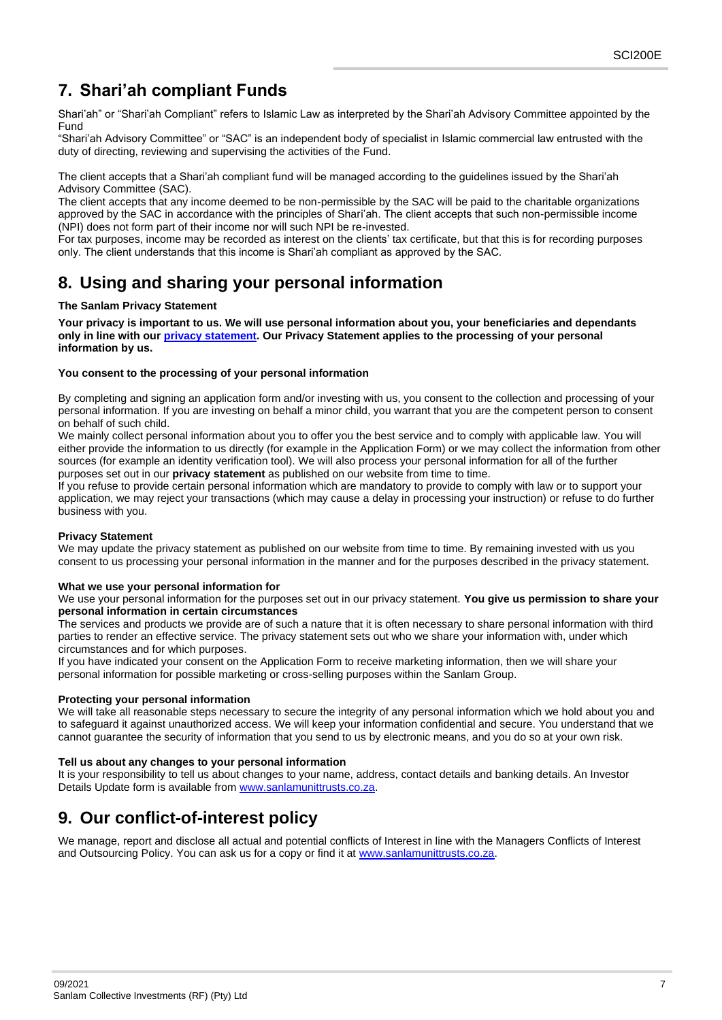# <span id="page-6-0"></span>**7. Shari'ah compliant Funds**

Shari'ah" or "Shari'ah Compliant" refers to Islamic Law as interpreted by the Shari'ah Advisory Committee appointed by the Fund

"Shari'ah Advisory Committee" or "SAC" is an independent body of specialist in Islamic commercial law entrusted with the duty of directing, reviewing and supervising the activities of the Fund.

The client accepts that a Shari'ah compliant fund will be managed according to the guidelines issued by the Shari'ah Advisory Committee (SAC).

The client accepts that any income deemed to be non-permissible by the SAC will be paid to the charitable organizations approved by the SAC in accordance with the principles of Shari'ah. The client accepts that such non-permissible income (NPI) does not form part of their income nor will such NPI be re-invested.

For tax purposes, income may be recorded as interest on the clients' tax certificate, but that this is for recording purposes only. The client understands that this income is Shari'ah compliant as approved by the SAC.

# <span id="page-6-1"></span>**8. Using and sharing your personal information**

# **The Sanlam Privacy Statement**

**Your privacy is important to us. We will use personal information about you, your beneficiaries and dependants only in line with our [privacy statement.](https://www.sanlaminvestments.com/Documents/sig-privacy-statement.pdf) Our Privacy Statement applies to the processing of your personal information by us.**

## **You consent to the processing of your personal information**

By completing and signing an application form and/or investing with us, you consent to the collection and processing of your personal information. If you are investing on behalf a minor child, you warrant that you are the competent person to consent on behalf of such child.

We mainly collect personal information about you to offer you the best service and to comply with applicable law. You will either provide the information to us directly (for example in the Application Form) or we may collect the information from other sources (for example an identity verification tool). We will also process your personal information for all of the further purposes set out in our **privacy statement** as published on our website from time to time.

If you refuse to provide certain personal information which are mandatory to provide to comply with law or to support your application, we may reject your transactions (which may cause a delay in processing your instruction) or refuse to do further business with you.

## **Privacy Statement**

We may update the privacy statement as published on our website from time to time. By remaining invested with us you consent to us processing your personal information in the manner and for the purposes described in the privacy statement.

## **What we use your personal information for**

We use your personal information for the purposes set out in our privacy statement. **You give us permission to share your personal information in certain circumstances** 

The services and products we provide are of such a nature that it is often necessary to share personal information with third parties to render an effective service. The privacy statement sets out who we share your information with, under which circumstances and for which purposes.

If you have indicated your consent on the Application Form to receive marketing information, then we will share your personal information for possible marketing or cross-selling purposes within the Sanlam Group.

## **Protecting your personal information**

We will take all reasonable steps necessary to secure the integrity of any personal information which we hold about you and to safeguard it against unauthorized access. We will keep your information confidential and secure. You understand that we cannot guarantee the security of information that you send to us by electronic means, and you do so at your own risk.

## **Tell us about any changes to your personal information**

It is your responsibility to tell us about changes to your name, address, contact details and banking details. An Investor Details Update form is available fro[m www.sanlamunittrusts.co.za.](http://www.sanlamunittrusts.co.za/)

# <span id="page-6-2"></span>**9. Our conflict-of-interest policy**

We manage, report and disclose all actual and potential conflicts of Interest in line with the Managers Conflicts of Interest and Outsourcing Policy. You can ask us for a copy or find it at [www.sanlamunittrusts.co.za.](http://www.sanlamunittrusts.co.za/)